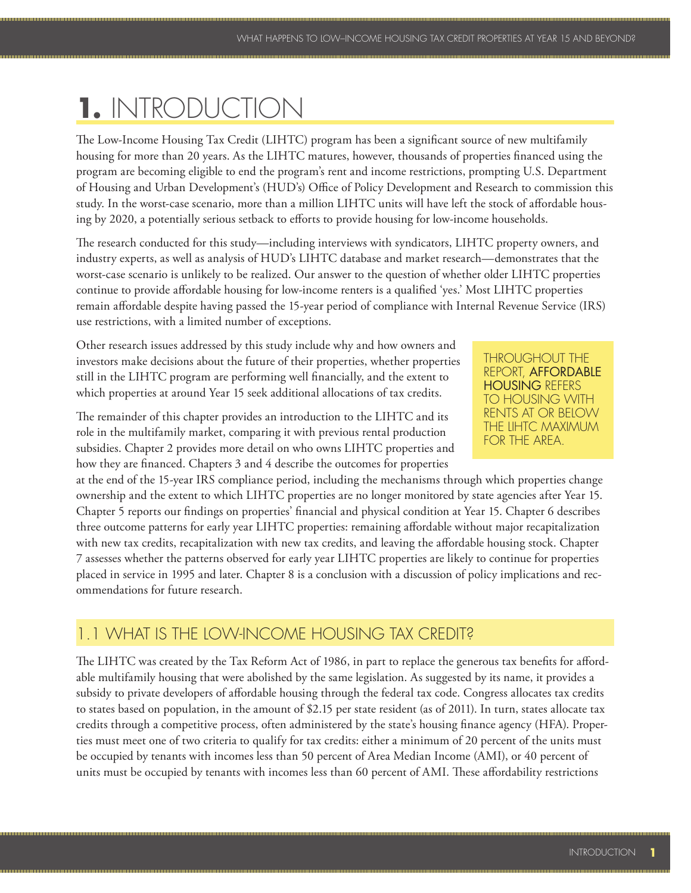# **1.** INTRODUCTION

The Low-Income Housing Tax Credit (LIHTC) program has been a significant source of new multifamily housing for more than 20 years. As the LIHTC matures, however, thousands of properties financed using the program are becoming eligible to end the program's rent and income restrictions, prompting U.S. Department of Housing and Urban Development's (HUD's) Office of Policy Development and Research to commission this study. In the worst-case scenario, more than a million LIHTC units will have left the stock of affordable housing by 2020, a potentially serious setback to efforts to provide housing for low-income households.

The research conducted for this study—including interviews with syndicators, LIHTC property owners, and industry experts, as well as analysis of HUD's LIHTC database and market research—demonstrates that the worst-case scenario is unlikely to be realized. Our answer to the question of whether older LIHTC properties continue to provide affordable housing for low-income renters is a qualified 'yes.' Most LIHTC properties remain affordable despite having passed the 15-year period of compliance with Internal Revenue Service (IRS) use restrictions, with a limited number of exceptions.

Other research issues addressed by this study include why and how owners and investors make decisions about the future of their properties, whether properties still in the LIHTC program are performing well financially, and the extent to which properties at around Year 15 seek additional allocations of tax credits.

The remainder of this chapter provides an introduction to the LIHTC and its role in the multifamily market, comparing it with previous rental production subsidies. Chapter 2 provides more detail on who owns LIHTC properties and how they are financed. Chapters 3 and 4 describe the outcomes for properties

THROUGHOUT THE REPORT, AFFORDABLE HOUSING REFERS TO HOUSING WITH RENTS AT OR BELOW THE LIHTC MAXIMUM FOR THE AREA.

at the end of the 15-year IRS compliance period, including the mechanisms through which properties change ownership and the extent to which LIHTC properties are no longer monitored by state agencies after Year 15. Chapter 5 reports our findings on properties' financial and physical condition at Year 15. Chapter 6 describes three outcome patterns for early year LIHTC properties: remaining affordable without major recapitalization with new tax credits, recapitalization with new tax credits, and leaving the affordable housing stock. Chapter 7 assesses whether the patterns observed for early year LIHTC properties are likely to continue for properties placed in service in 1995 and later. Chapter 8 is a conclusion with a discussion of policy implications and recommendations for future research.

## 1.1 WHAT IS THE LOW-INCOME HOUSING TAX CREDIT?

The LIHTC was created by the Tax Reform Act of 1986, in part to replace the generous tax benefits for affordable multifamily housing that were abolished by the same legislation. As suggested by its name, it provides a subsidy to private developers of affordable housing through the federal tax code. Congress allocates tax credits to states based on population, in the amount of \$2.15 per state resident (as of 2011). In turn, states allocate tax credits through a competitive process, often administered by the state's housing finance agency (HFA). Properties must meet one of two criteria to qualify for tax credits: either a minimum of 20 percent of the units must be occupied by tenants with incomes less than 50 percent of Area Median Income (AMI), or 40 percent of units must be occupied by tenants with incomes less than 60 percent of AMI. These affordability restrictions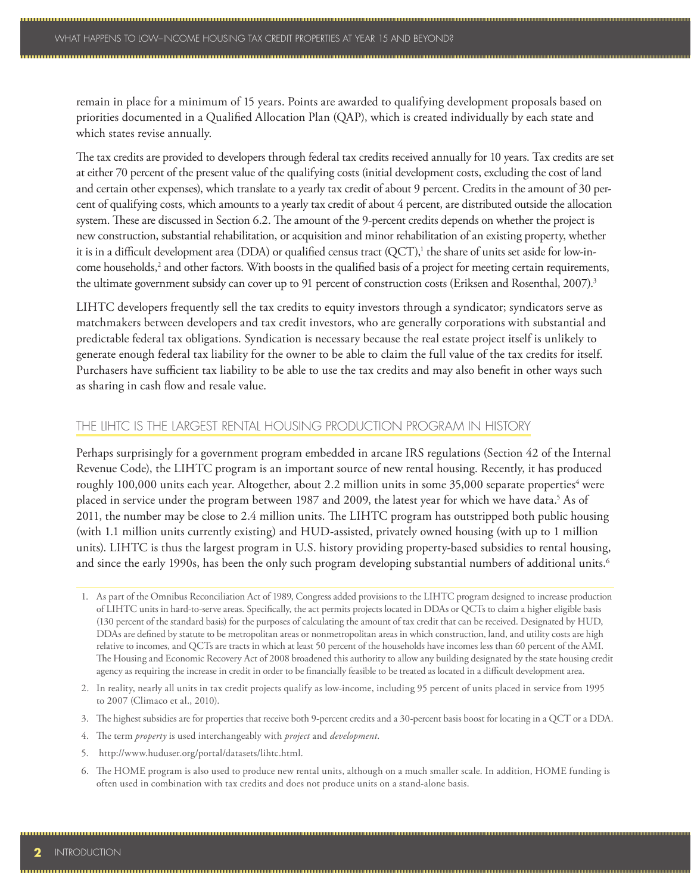remain in place for a minimum of 15 years. Points are awarded to qualifying development proposals based on priorities documented in a Qualified Allocation Plan (QAP), which is created individually by each state and which states revise annually.

The tax credits are provided to developers through federal tax credits received annually for 10 years. Tax credits are set at either 70 percent of the present value of the qualifying costs (initial development costs, excluding the cost of land and certain other expenses), which translate to a yearly tax credit of about 9 percent. Credits in the amount of 30 percent of qualifying costs, which amounts to a yearly tax credit of about 4 percent, are distributed outside the allocation system. These are discussed in Section 6.2. The amount of the 9-percent credits depends on whether the project is new construction, substantial rehabilitation, or acquisition and minor rehabilitation of an existing property, whether it is in a difficult development area (DDA) or qualified census tract (QCT), $^{\rm l}$  the share of units set aside for low-income households,<sup>2</sup> and other factors. With boosts in the qualified basis of a project for meeting certain requirements, the ultimate government subsidy can cover up to 91 percent of construction costs (Eriksen and Rosenthal, 2007).<sup>3</sup>

LIHTC developers frequently sell the tax credits to equity investors through a syndicator; syndicators serve as matchmakers between developers and tax credit investors, who are generally corporations with substantial and predictable federal tax obligations. Syndication is necessary because the real estate project itself is unlikely to generate enough federal tax liability for the owner to be able to claim the full value of the tax credits for itself. Purchasers have sufficient tax liability to be able to use the tax credits and may also benefit in other ways such as sharing in cash flow and resale value.

#### THE LIHTC IS THE LARGEST RENTAL HOUSING PRODUCTION PROGRAM IN HISTORY

Perhaps surprisingly for a government program embedded in arcane IRS regulations (Section 42 of the Internal Revenue Code), the LIHTC program is an important source of new rental housing. Recently, it has produced roughly 100,000 units each year. Altogether, about 2.2 million units in some 35,000 separate properties<sup>4</sup> were placed in service under the program between 1987 and 2009, the latest year for which we have data.<sup>5</sup> As of 2011, the number may be close to 2.4 million units. The LIHTC program has outstripped both public housing (with 1.1 million units currently existing) and HUD-assisted, privately owned housing (with up to 1 million units). LIHTC is thus the largest program in U.S. history providing property-based subsidies to rental housing, and since the early 1990s, has been the only such program developing substantial numbers of additional units.<sup>6</sup>

- 3. The highest subsidies are for properties that receive both 9-percent credits and a 30-percent basis boost for locating in a QCT or a DDA.
- 4. The term *property* is used interchangeably with *project* and *development*.
- 5. http://www.huduser.org/portal/datasets/lihtc.html.
- 6. The HOME program is also used to produce new rental units, although on a much smaller scale. In addition, HOME funding is often used in combination with tax credits and does not produce units on a stand-alone basis.

<sup>1.</sup> As part of the Omnibus Reconciliation Act of 1989, Congress added provisions to the LIHTC program designed to increase production of LIHTC units in hard-to-serve areas. Specifically, the act permits projects located in DDAs or QCTs to claim a higher eligible basis (130 percent of the standard basis) for the purposes of calculating the amount of tax credit that can be received. Designated by HUD, DDAs are defined by statute to be metropolitan areas or nonmetropolitan areas in which construction, land, and utility costs are high relative to incomes, and QCTs are tracts in which at least 50 percent of the households have incomes less than 60 percent of the AMI. The Housing and Economic Recovery Act of 2008 broadened this authority to allow any building designated by the state housing credit agency as requiring the increase in credit in order to be financially feasible to be treated as located in a difficult development area.

<sup>2.</sup> In reality, nearly all units in tax credit projects qualify as low-income, including 95 percent of units placed in service from 1995 to 2007 (Climaco et al., 2010).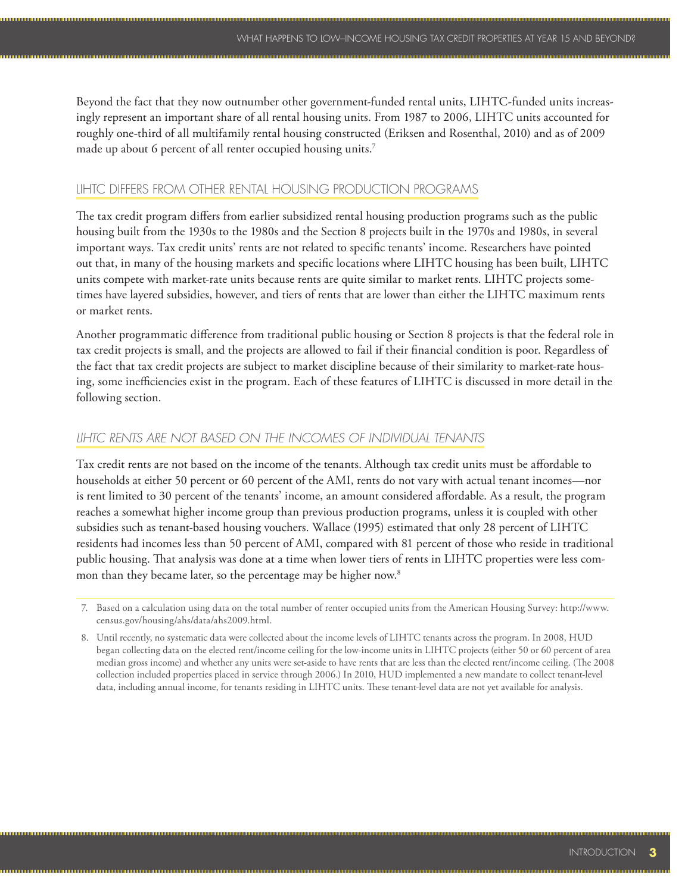Beyond the fact that they now outnumber other government-funded rental units, LIHTC-funded units increasingly represent an important share of all rental housing units. From 1987 to 2006, LIHTC units accounted for roughly one-third of all multifamily rental housing constructed (Eriksen and Rosenthal, 2010) and as of 2009 made up about 6 percent of all renter occupied housing units.<sup>7</sup>

#### LIHTC DIFFERS FROM OTHER RENTAL HOUSING PRODUCTION PROGRAMS

The tax credit program differs from earlier subsidized rental housing production programs such as the public housing built from the 1930s to the 1980s and the Section 8 projects built in the 1970s and 1980s, in several important ways. Tax credit units' rents are not related to specific tenants' income. Researchers have pointed out that, in many of the housing markets and specific locations where LIHTC housing has been built, LIHTC units compete with market-rate units because rents are quite similar to market rents. LIHTC projects sometimes have layered subsidies, however, and tiers of rents that are lower than either the LIHTC maximum rents or market rents.

Another programmatic difference from traditional public housing or Section 8 projects is that the federal role in tax credit projects is small, and the projects are allowed to fail if their financial condition is poor. Regardless of the fact that tax credit projects are subject to market discipline because of their similarity to market-rate housing, some inefficiencies exist in the program. Each of these features of LIHTC is discussed in more detail in the following section.

#### LIHTC RENTS ARE NOT BASED ON THE INCOMES OF INDIVIDUAL TENANTS

Tax credit rents are not based on the income of the tenants. Although tax credit units must be affordable to households at either 50 percent or 60 percent of the AMI, rents do not vary with actual tenant incomes—nor is rent limited to 30 percent of the tenants' income, an amount considered affordable. As a result, the program reaches a somewhat higher income group than previous production programs, unless it is coupled with other subsidies such as tenant-based housing vouchers. Wallace (1995) estimated that only 28 percent of LIHTC residents had incomes less than 50 percent of AMI, compared with 81 percent of those who reside in traditional public housing. That analysis was done at a time when lower tiers of rents in LIHTC properties were less common than they became later, so the percentage may be higher now.<sup>8</sup>

7. Based on a calculation using data on the total number of renter occupied units from the American Housing Survey: http://www. census.gov/housing/ahs/data/ahs2009.html.

8. Until recently, no systematic data were collected about the income levels of LIHTC tenants across the program. In 2008, HUD began collecting data on the elected rent/income ceiling for the low-income units in LIHTC projects (either 50 or 60 percent of area median gross income) and whether any units were set-aside to have rents that are less than the elected rent/income ceiling. (The 2008 collection included properties placed in service through 2006.) In 2010, HUD implemented a new mandate to collect tenant-level data, including annual income, for tenants residing in LIHTC units. These tenant-level data are not yet available for analysis.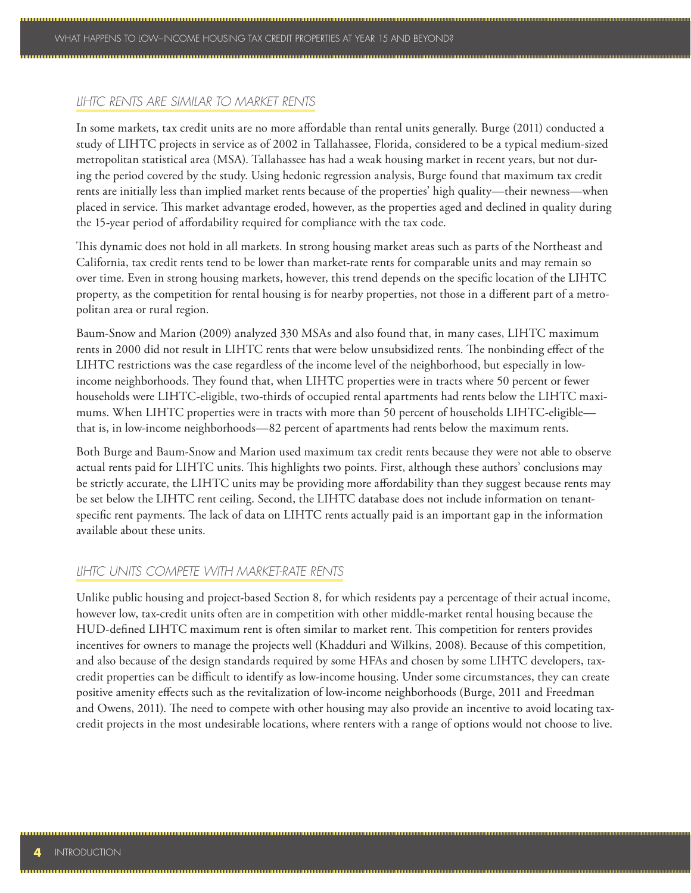#### LIHTC RENTS ARE SIMILAR TO MARKET RENTS

In some markets, tax credit units are no more affordable than rental units generally. Burge (2011) conducted a study of LIHTC projects in service as of 2002 in Tallahassee, Florida, considered to be a typical medium-sized metropolitan statistical area (MSA). Tallahassee has had a weak housing market in recent years, but not during the period covered by the study. Using hedonic regression analysis, Burge found that maximum tax credit rents are initially less than implied market rents because of the properties' high quality—their newness—when placed in service. This market advantage eroded, however, as the properties aged and declined in quality during the 15-year period of affordability required for compliance with the tax code.

This dynamic does not hold in all markets. In strong housing market areas such as parts of the Northeast and California, tax credit rents tend to be lower than market-rate rents for comparable units and may remain so over time. Even in strong housing markets, however, this trend depends on the specific location of the LIHTC property, as the competition for rental housing is for nearby properties, not those in a different part of a metropolitan area or rural region.

Baum-Snow and Marion (2009) analyzed 330 MSAs and also found that, in many cases, LIHTC maximum rents in 2000 did not result in LIHTC rents that were below unsubsidized rents. The nonbinding effect of the LIHTC restrictions was the case regardless of the income level of the neighborhood, but especially in lowincome neighborhoods. They found that, when LIHTC properties were in tracts where 50 percent or fewer households were LIHTC-eligible, two-thirds of occupied rental apartments had rents below the LIHTC maximums. When LIHTC properties were in tracts with more than 50 percent of households LIHTC-eligible that is, in low-income neighborhoods—82 percent of apartments had rents below the maximum rents.

Both Burge and Baum-Snow and Marion used maximum tax credit rents because they were not able to observe actual rents paid for LIHTC units. This highlights two points. First, although these authors' conclusions may be strictly accurate, the LIHTC units may be providing more affordability than they suggest because rents may be set below the LIHTC rent ceiling. Second, the LIHTC database does not include information on tenantspecific rent payments. The lack of data on LIHTC rents actually paid is an important gap in the information available about these units.

#### LIHTC UNITS COMPETE WITH MARKET-RATE RENTS

Unlike public housing and project-based Section 8, for which residents pay a percentage of their actual income, however low, tax-credit units often are in competition with other middle-market rental housing because the HUD-defined LIHTC maximum rent is often similar to market rent. This competition for renters provides incentives for owners to manage the projects well (Khadduri and Wilkins, 2008). Because of this competition, and also because of the design standards required by some HFAs and chosen by some LIHTC developers, taxcredit properties can be difficult to identify as low-income housing. Under some circumstances, they can create positive amenity effects such as the revitalization of low-income neighborhoods (Burge, 2011 and Freedman and Owens, 2011). The need to compete with other housing may also provide an incentive to avoid locating taxcredit projects in the most undesirable locations, where renters with a range of options would not choose to live.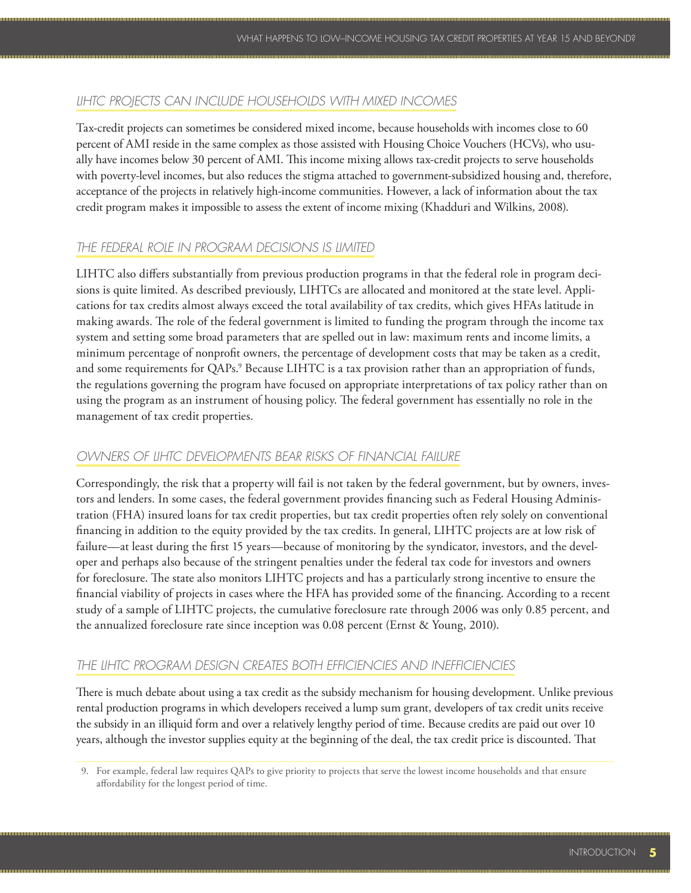#### LIHTC PROJECTS CAN INCLUDE HOUSEHOLDS WITH MIXED INCOMES

Tax-credit projects can sometimes be considered mixed income, because households with incomes close to 60 percent of AMI reside in the same complex as those assisted with Housing Choice Vouchers (HCVs), who usually have incomes below 30 percent of AMI. This income mixing allows tax-credit projects to serve households with poverty-level incomes, but also reduces the stigma attached to government-subsidized housing and, therefore, acceptance of the projects in relatively high-income communities. However, a lack of information about the tax credit program makes it impossible to assess the extent of income mixing (Khadduri and Wilkins, 2008).

#### THE FEDERAL ROLE IN PROGRAM DECISIONS IS LIMITED

LIHTC also differs substantially from previous production programs in that the federal role in program decisions is quite limited. As described previously, LIHTCs are allocated and monitored at the state level. Applications for tax credits almost always exceed the total availability of tax credits, which gives HFAs latitude in making awards. The role of the federal government is limited to funding the program through the income tax system and setting some broad parameters that are spelled out in law: maximum rents and income limits, a minimum percentage of nonprofit owners, the percentage of development costs that may be taken as a credit, and some requirements for QAPs. $^9$  Because LIHTC is a tax provision rather than an appropriation of funds, the regulations governing the program have focused on appropriate interpretations of tax policy rather than on using the program as an instrument of housing policy. The federal government has essentially no role in the management of tax credit properties.

#### OWNERS OF LIHTC DEVELOPMENTS BEAR RISKS OF FINANCIAL FAILURE

Correspondingly, the risk that a property will fail is not taken by the federal government, but by owners, investors and lenders. In some cases, the federal government provides financing such as Federal Housing Administration (FHA) insured loans for tax credit properties, but tax credit properties often rely solely on conventional financing in addition to the equity provided by the tax credits. In general, LIHTC projects are at low risk of failure—at least during the first 15 years—because of monitoring by the syndicator, investors, and the developer and perhaps also because of the stringent penalties under the federal tax code for investors and owners for foreclosure. The state also monitors LIHTC projects and has a particularly strong incentive to ensure the financial viability of projects in cases where the HFA has provided some of the financing. According to a recent study of a sample of LIHTC projects, the cumulative foreclosure rate through 2006 was only 0.85 percent, and the annualized foreclosure rate since inception was 0.08 percent (Ernst & Young, 2010).

#### THE LIHTC PROGRAM DESIGN CREATES BOTH EFFICIENCIES AND INEFFICIENCIES

There is much debate about using a tax credit as the subsidy mechanism for housing development. Unlike previous rental production programs in which developers received a lump sum grant, developers of tax credit units receive the subsidy in an illiquid form and over a relatively lengthy period of time. Because credits are paid out over 10 years, although the investor supplies equity at the beginning of the deal, the tax credit price is discounted. That

<sup>9.</sup> For example, federal law requires QAPs to give priority to projects that serve the lowest income households and that ensure affordability for the longest period of time.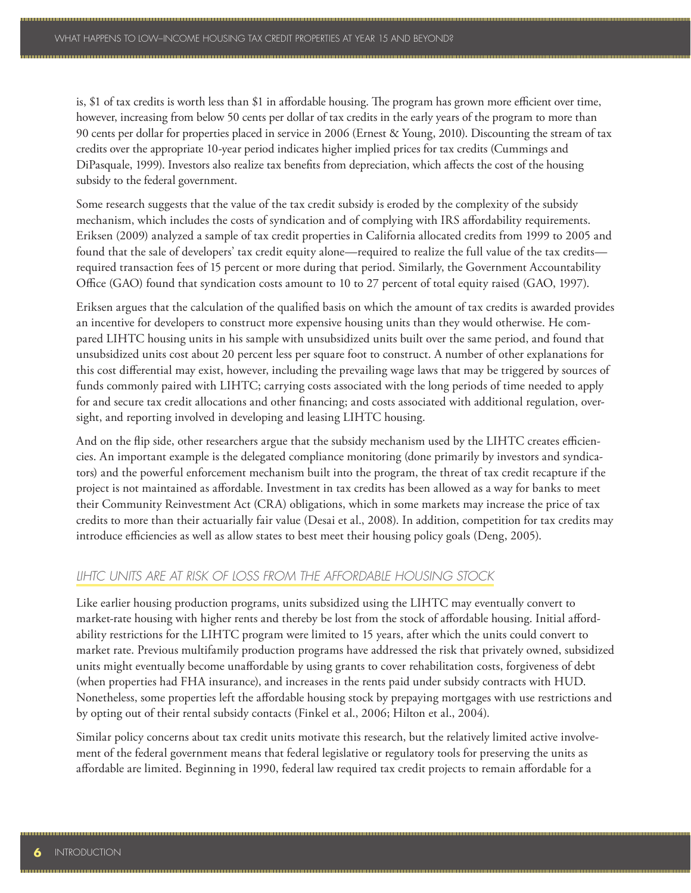is, \$1 of tax credits is worth less than \$1 in affordable housing. The program has grown more efficient over time, however, increasing from below 50 cents per dollar of tax credits in the early years of the program to more than 90 cents per dollar for properties placed in service in 2006 (Ernest & Young, 2010). Discounting the stream of tax credits over the appropriate 10-year period indicates higher implied prices for tax credits (Cummings and DiPasquale, 1999). Investors also realize tax benefits from depreciation, which affects the cost of the housing subsidy to the federal government.

Some research suggests that the value of the tax credit subsidy is eroded by the complexity of the subsidy mechanism, which includes the costs of syndication and of complying with IRS affordability requirements. Eriksen (2009) analyzed a sample of tax credit properties in California allocated credits from 1999 to 2005 and found that the sale of developers' tax credit equity alone—required to realize the full value of the tax credits required transaction fees of 15 percent or more during that period. Similarly, the Government Accountability Office (GAO) found that syndication costs amount to 10 to 27 percent of total equity raised (GAO, 1997).

Eriksen argues that the calculation of the qualified basis on which the amount of tax credits is awarded provides an incentive for developers to construct more expensive housing units than they would otherwise. He compared LIHTC housing units in his sample with unsubsidized units built over the same period, and found that unsubsidized units cost about 20 percent less per square foot to construct. A number of other explanations for this cost differential may exist, however, including the prevailing wage laws that may be triggered by sources of funds commonly paired with LIHTC; carrying costs associated with the long periods of time needed to apply for and secure tax credit allocations and other financing; and costs associated with additional regulation, oversight, and reporting involved in developing and leasing LIHTC housing.

And on the flip side, other researchers argue that the subsidy mechanism used by the LIHTC creates efficiencies. An important example is the delegated compliance monitoring (done primarily by investors and syndicators) and the powerful enforcement mechanism built into the program, the threat of tax credit recapture if the project is not maintained as affordable. Investment in tax credits has been allowed as a way for banks to meet their Community Reinvestment Act (CRA) obligations, which in some markets may increase the price of tax credits to more than their actuarially fair value (Desai et al., 2008). In addition, competition for tax credits may introduce efficiencies as well as allow states to best meet their housing policy goals (Deng, 2005).

#### LIHTC UNITS ARE AT RISK OF LOSS FROM THE AFFORDABLE HOUSING STOCK

Like earlier housing production programs, units subsidized using the LIHTC may eventually convert to market-rate housing with higher rents and thereby be lost from the stock of affordable housing. Initial affordability restrictions for the LIHTC program were limited to 15 years, after which the units could convert to market rate. Previous multifamily production programs have addressed the risk that privately owned, subsidized units might eventually become unaffordable by using grants to cover rehabilitation costs, forgiveness of debt (when properties had FHA insurance), and increases in the rents paid under subsidy contracts with HUD. Nonetheless, some properties left the affordable housing stock by prepaying mortgages with use restrictions and by opting out of their rental subsidy contacts (Finkel et al., 2006; Hilton et al., 2004).

Similar policy concerns about tax credit units motivate this research, but the relatively limited active involvement of the federal government means that federal legislative or regulatory tools for preserving the units as affordable are limited. Beginning in 1990, federal law required tax credit projects to remain affordable for a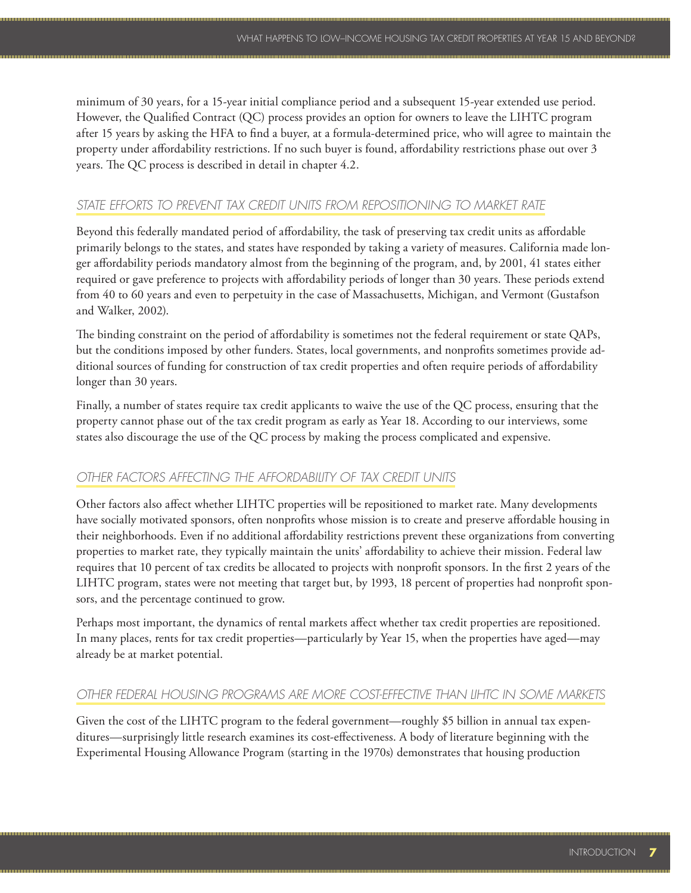minimum of 30 years, for a 15-year initial compliance period and a subsequent 15-year extended use period. However, the Qualified Contract (QC) process provides an option for owners to leave the LIHTC program after 15 years by asking the HFA to find a buyer, at a formula-determined price, who will agree to maintain the property under affordability restrictions. If no such buyer is found, affordability restrictions phase out over 3 years. The QC process is described in detail in chapter 4.2.

#### STATE EFFORTS TO PREVENT TAX CREDIT UNITS FROM REPOSITIONING TO MARKET RATE

Beyond this federally mandated period of affordability, the task of preserving tax credit units as affordable primarily belongs to the states, and states have responded by taking a variety of measures. California made longer affordability periods mandatory almost from the beginning of the program, and, by 2001, 41 states either required or gave preference to projects with affordability periods of longer than 30 years. These periods extend from 40 to 60 years and even to perpetuity in the case of Massachusetts, Michigan, and Vermont (Gustafson and Walker, 2002).

The binding constraint on the period of affordability is sometimes not the federal requirement or state QAPs, but the conditions imposed by other funders. States, local governments, and nonprofits sometimes provide additional sources of funding for construction of tax credit properties and often require periods of affordability longer than 30 years.

Finally, a number of states require tax credit applicants to waive the use of the QC process, ensuring that the property cannot phase out of the tax credit program as early as Year 18. According to our interviews, some states also discourage the use of the QC process by making the process complicated and expensive.

#### OTHER FACTORS AFFECTING THE AFFORDABILITY OF TAX CREDIT UNITS

Other factors also affect whether LIHTC properties will be repositioned to market rate. Many developments have socially motivated sponsors, often nonprofits whose mission is to create and preserve affordable housing in their neighborhoods. Even if no additional affordability restrictions prevent these organizations from converting properties to market rate, they typically maintain the units' affordability to achieve their mission. Federal law requires that 10 percent of tax credits be allocated to projects with nonprofit sponsors. In the first 2 years of the LIHTC program, states were not meeting that target but, by 1993, 18 percent of properties had nonprofit sponsors, and the percentage continued to grow.

Perhaps most important, the dynamics of rental markets affect whether tax credit properties are repositioned. In many places, rents for tax credit properties—particularly by Year 15, when the properties have aged—may already be at market potential.

#### OTHER FEDERAL HOUSING PROGRAMS ARE MORE COST-EFFECTIVE THAN LIHTC IN SOME MARKETS

Given the cost of the LIHTC program to the federal government—roughly \$5 billion in annual tax expenditures—surprisingly little research examines its cost-effectiveness. A body of literature beginning with the Experimental Housing Allowance Program (starting in the 1970s) demonstrates that housing production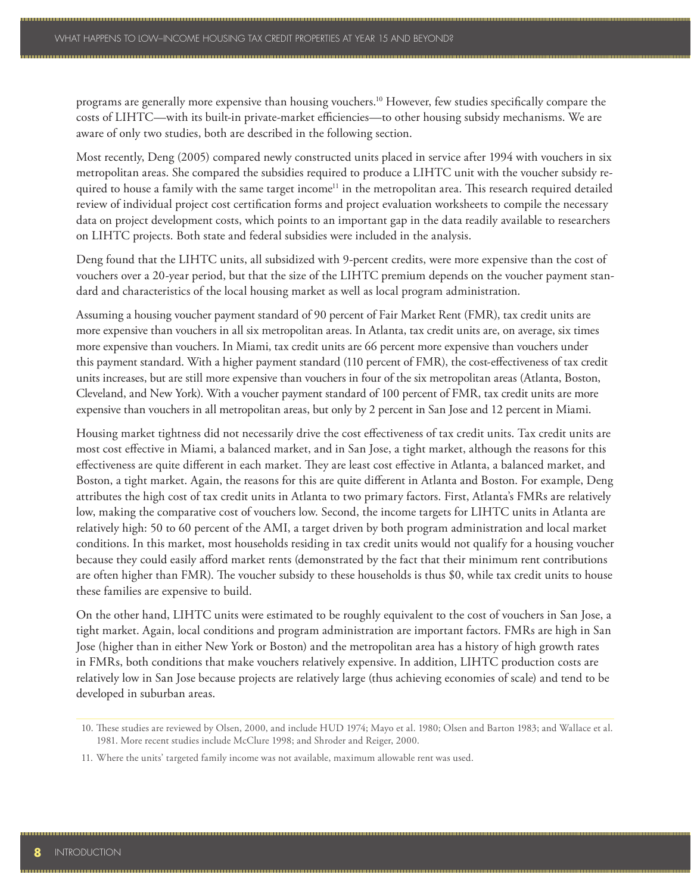programs are generally more expensive than housing vouchers.10 However, few studies specifically compare the costs of LIHTC—with its built-in private-market efficiencies—to other housing subsidy mechanisms. We are aware of only two studies, both are described in the following section.

Most recently, Deng (2005) compared newly constructed units placed in service after 1994 with vouchers in six metropolitan areas. She compared the subsidies required to produce a LIHTC unit with the voucher subsidy required to house a family with the same target income<sup>11</sup> in the metropolitan area. This research required detailed review of individual project cost certification forms and project evaluation worksheets to compile the necessary data on project development costs, which points to an important gap in the data readily available to researchers on LIHTC projects. Both state and federal subsidies were included in the analysis.

Deng found that the LIHTC units, all subsidized with 9-percent credits, were more expensive than the cost of vouchers over a 20-year period, but that the size of the LIHTC premium depends on the voucher payment standard and characteristics of the local housing market as well as local program administration.

Assuming a housing voucher payment standard of 90 percent of Fair Market Rent (FMR), tax credit units are more expensive than vouchers in all six metropolitan areas. In Atlanta, tax credit units are, on average, six times more expensive than vouchers. In Miami, tax credit units are 66 percent more expensive than vouchers under this payment standard. With a higher payment standard (110 percent of FMR), the cost-effectiveness of tax credit units increases, but are still more expensive than vouchers in four of the six metropolitan areas (Atlanta, Boston, Cleveland, and New York). With a voucher payment standard of 100 percent of FMR, tax credit units are more expensive than vouchers in all metropolitan areas, but only by 2 percent in San Jose and 12 percent in Miami.

Housing market tightness did not necessarily drive the cost effectiveness of tax credit units. Tax credit units are most cost effective in Miami, a balanced market, and in San Jose, a tight market, although the reasons for this effectiveness are quite different in each market. They are least cost effective in Atlanta, a balanced market, and Boston, a tight market. Again, the reasons for this are quite different in Atlanta and Boston. For example, Deng attributes the high cost of tax credit units in Atlanta to two primary factors. First, Atlanta's FMRs are relatively low, making the comparative cost of vouchers low. Second, the income targets for LIHTC units in Atlanta are relatively high: 50 to 60 percent of the AMI, a target driven by both program administration and local market conditions. In this market, most households residing in tax credit units would not qualify for a housing voucher because they could easily afford market rents (demonstrated by the fact that their minimum rent contributions are often higher than FMR). The voucher subsidy to these households is thus \$0, while tax credit units to house these families are expensive to build.

On the other hand, LIHTC units were estimated to be roughly equivalent to the cost of vouchers in San Jose, a tight market. Again, local conditions and program administration are important factors. FMRs are high in San Jose (higher than in either New York or Boston) and the metropolitan area has a history of high growth rates in FMRs, both conditions that make vouchers relatively expensive. In addition, LIHTC production costs are relatively low in San Jose because projects are relatively large (thus achieving economies of scale) and tend to be developed in suburban areas.

<sup>10.</sup> These studies are reviewed by Olsen, 2000, and include HUD 1974; Mayo et al. 1980; Olsen and Barton 1983; and Wallace et al. 1981. More recent studies include McClure 1998; and Shroder and Reiger, 2000.

<sup>11.</sup> Where the units' targeted family income was not available, maximum allowable rent was used.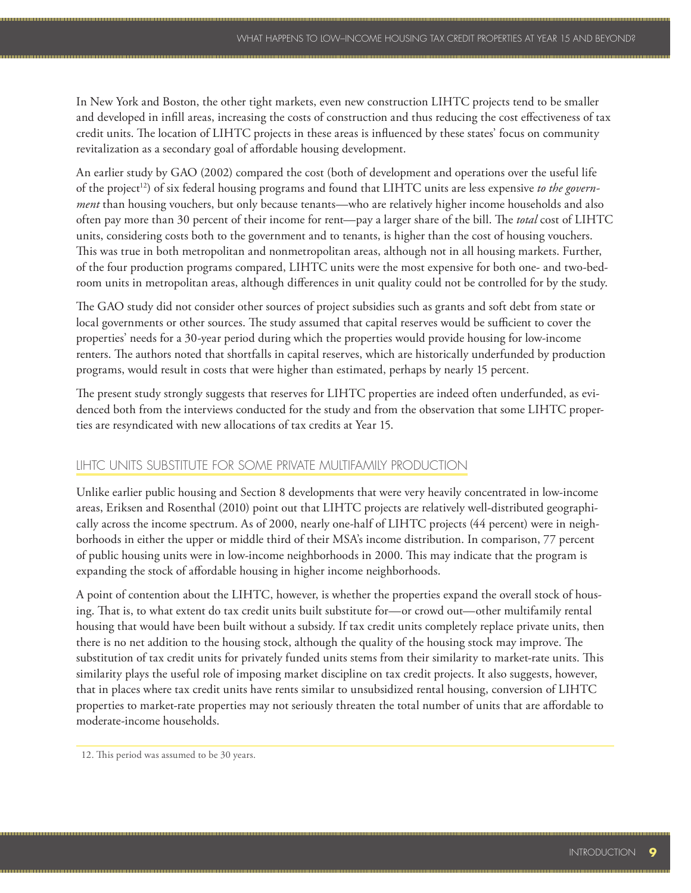In New York and Boston, the other tight markets, even new construction LIHTC projects tend to be smaller and developed in infill areas, increasing the costs of construction and thus reducing the cost effectiveness of tax credit units. The location of LIHTC projects in these areas is influenced by these states' focus on community revitalization as a secondary goal of affordable housing development.

An earlier study by GAO (2002) compared the cost (both of development and operations over the useful life of the project<sup>12</sup>) of six federal housing programs and found that LIHTC units are less expensive *to the government* than housing vouchers, but only because tenants—who are relatively higher income households and also often pay more than 30 percent of their income for rent—pay a larger share of the bill. The *total* cost of LIHTC units, considering costs both to the government and to tenants, is higher than the cost of housing vouchers. This was true in both metropolitan and nonmetropolitan areas, although not in all housing markets. Further, of the four production programs compared, LIHTC units were the most expensive for both one- and two-bedroom units in metropolitan areas, although differences in unit quality could not be controlled for by the study.

The GAO study did not consider other sources of project subsidies such as grants and soft debt from state or local governments or other sources. The study assumed that capital reserves would be sufficient to cover the properties' needs for a 30-year period during which the properties would provide housing for low-income renters. The authors noted that shortfalls in capital reserves, which are historically underfunded by production programs, would result in costs that were higher than estimated, perhaps by nearly 15 percent.

The present study strongly suggests that reserves for LIHTC properties are indeed often underfunded, as evidenced both from the interviews conducted for the study and from the observation that some LIHTC properties are resyndicated with new allocations of tax credits at Year 15.

#### LIHTC UNITS SUBSTITUTE FOR SOME PRIVATE MULTIFAMILY PRODUCTION

Unlike earlier public housing and Section 8 developments that were very heavily concentrated in low-income areas, Eriksen and Rosenthal (2010) point out that LIHTC projects are relatively well-distributed geographically across the income spectrum. As of 2000, nearly one-half of LIHTC projects (44 percent) were in neighborhoods in either the upper or middle third of their MSA's income distribution. In comparison, 77 percent of public housing units were in low-income neighborhoods in 2000. This may indicate that the program is expanding the stock of affordable housing in higher income neighborhoods.

A point of contention about the LIHTC, however, is whether the properties expand the overall stock of housing. That is, to what extent do tax credit units built substitute for—or crowd out—other multifamily rental housing that would have been built without a subsidy. If tax credit units completely replace private units, then there is no net addition to the housing stock, although the quality of the housing stock may improve. The substitution of tax credit units for privately funded units stems from their similarity to market-rate units. This similarity plays the useful role of imposing market discipline on tax credit projects. It also suggests, however, that in places where tax credit units have rents similar to unsubsidized rental housing, conversion of LIHTC properties to market-rate properties may not seriously threaten the total number of units that are affordable to moderate-income households.

<sup>12.</sup> This period was assumed to be 30 years.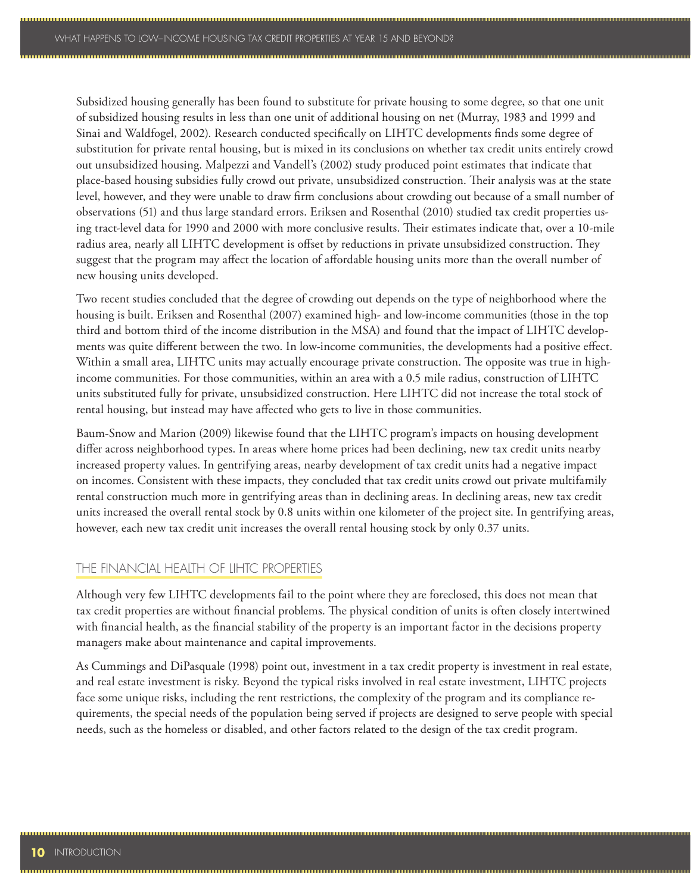Subsidized housing generally has been found to substitute for private housing to some degree, so that one unit of subsidized housing results in less than one unit of additional housing on net (Murray, 1983 and 1999 and Sinai and Waldfogel, 2002). Research conducted specifically on LIHTC developments finds some degree of substitution for private rental housing, but is mixed in its conclusions on whether tax credit units entirely crowd out unsubsidized housing. Malpezzi and Vandell's (2002) study produced point estimates that indicate that place-based housing subsidies fully crowd out private, unsubsidized construction. Their analysis was at the state level, however, and they were unable to draw firm conclusions about crowding out because of a small number of observations (51) and thus large standard errors. Eriksen and Rosenthal (2010) studied tax credit properties using tract-level data for 1990 and 2000 with more conclusive results. Their estimates indicate that, over a 10-mile radius area, nearly all LIHTC development is offset by reductions in private unsubsidized construction. They suggest that the program may affect the location of affordable housing units more than the overall number of new housing units developed.

Two recent studies concluded that the degree of crowding out depends on the type of neighborhood where the housing is built. Eriksen and Rosenthal (2007) examined high- and low-income communities (those in the top third and bottom third of the income distribution in the MSA) and found that the impact of LIHTC developments was quite different between the two. In low-income communities, the developments had a positive effect. Within a small area, LIHTC units may actually encourage private construction. The opposite was true in highincome communities. For those communities, within an area with a 0.5 mile radius, construction of LIHTC units substituted fully for private, unsubsidized construction. Here LIHTC did not increase the total stock of rental housing, but instead may have affected who gets to live in those communities.

Baum-Snow and Marion (2009) likewise found that the LIHTC program's impacts on housing development differ across neighborhood types. In areas where home prices had been declining, new tax credit units nearby increased property values. In gentrifying areas, nearby development of tax credit units had a negative impact on incomes. Consistent with these impacts, they concluded that tax credit units crowd out private multifamily rental construction much more in gentrifying areas than in declining areas. In declining areas, new tax credit units increased the overall rental stock by 0.8 units within one kilometer of the project site. In gentrifying areas, however, each new tax credit unit increases the overall rental housing stock by only 0.37 units.

#### THE FINANCIAL HEALTH OF LIHTC PROPERTIES

Although very few LIHTC developments fail to the point where they are foreclosed, this does not mean that tax credit properties are without financial problems. The physical condition of units is often closely intertwined with financial health, as the financial stability of the property is an important factor in the decisions property managers make about maintenance and capital improvements.

As Cummings and DiPasquale (1998) point out, investment in a tax credit property is investment in real estate, and real estate investment is risky. Beyond the typical risks involved in real estate investment, LIHTC projects face some unique risks, including the rent restrictions, the complexity of the program and its compliance requirements, the special needs of the population being served if projects are designed to serve people with special needs, such as the homeless or disabled, and other factors related to the design of the tax credit program.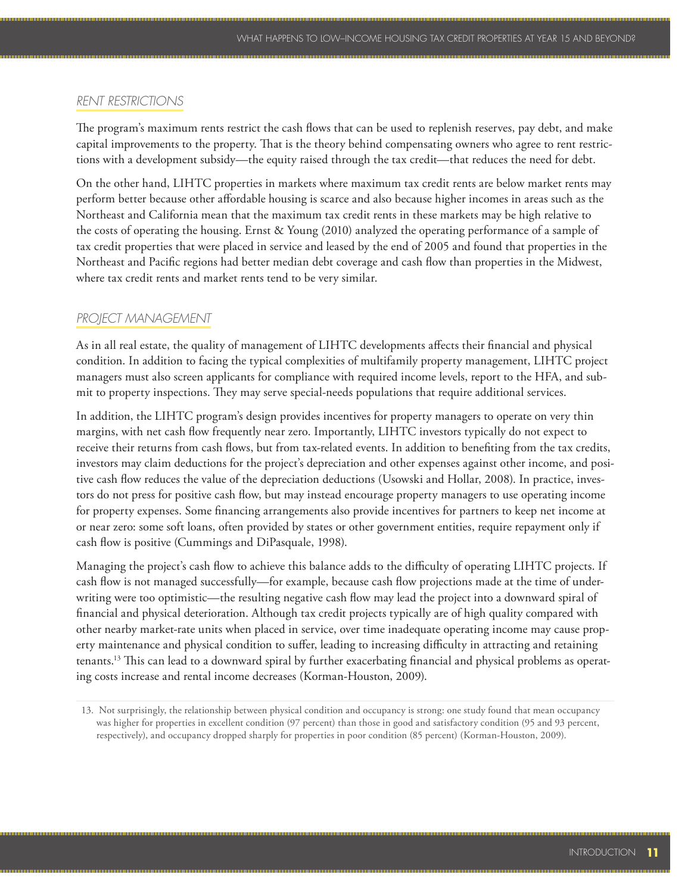#### RENT RESTRICTIONS

The program's maximum rents restrict the cash flows that can be used to replenish reserves, pay debt, and make capital improvements to the property. That is the theory behind compensating owners who agree to rent restrictions with a development subsidy—the equity raised through the tax credit—that reduces the need for debt.

On the other hand, LIHTC properties in markets where maximum tax credit rents are below market rents may perform better because other affordable housing is scarce and also because higher incomes in areas such as the Northeast and California mean that the maximum tax credit rents in these markets may be high relative to the costs of operating the housing. Ernst & Young (2010) analyzed the operating performance of a sample of tax credit properties that were placed in service and leased by the end of 2005 and found that properties in the Northeast and Pacific regions had better median debt coverage and cash flow than properties in the Midwest, where tax credit rents and market rents tend to be very similar.

#### PROJECT MANAGEMENT

As in all real estate, the quality of management of LIHTC developments affects their financial and physical condition. In addition to facing the typical complexities of multifamily property management, LIHTC project managers must also screen applicants for compliance with required income levels, report to the HFA, and submit to property inspections. They may serve special-needs populations that require additional services.

In addition, the LIHTC program's design provides incentives for property managers to operate on very thin margins, with net cash flow frequently near zero. Importantly, LIHTC investors typically do not expect to receive their returns from cash flows, but from tax-related events. In addition to benefiting from the tax credits, investors may claim deductions for the project's depreciation and other expenses against other income, and positive cash flow reduces the value of the depreciation deductions (Usowski and Hollar, 2008). In practice, investors do not press for positive cash flow, but may instead encourage property managers to use operating income for property expenses. Some financing arrangements also provide incentives for partners to keep net income at or near zero: some soft loans, often provided by states or other government entities, require repayment only if cash flow is positive (Cummings and DiPasquale, 1998).

Managing the project's cash flow to achieve this balance adds to the difficulty of operating LIHTC projects. If cash flow is not managed successfully—for example, because cash flow projections made at the time of underwriting were too optimistic—the resulting negative cash flow may lead the project into a downward spiral of financial and physical deterioration. Although tax credit projects typically are of high quality compared with other nearby market-rate units when placed in service, over time inadequate operating income may cause property maintenance and physical condition to suffer, leading to increasing difficulty in attracting and retaining tenants.13 This can lead to a downward spiral by further exacerbating financial and physical problems as operating costs increase and rental income decreases (Korman-Houston, 2009).

<sup>13.</sup> Not surprisingly, the relationship between physical condition and occupancy is strong: one study found that mean occupancy was higher for properties in excellent condition (97 percent) than those in good and satisfactory condition (95 and 93 percent, respectively), and occupancy dropped sharply for properties in poor condition (85 percent) (Korman-Houston, 2009).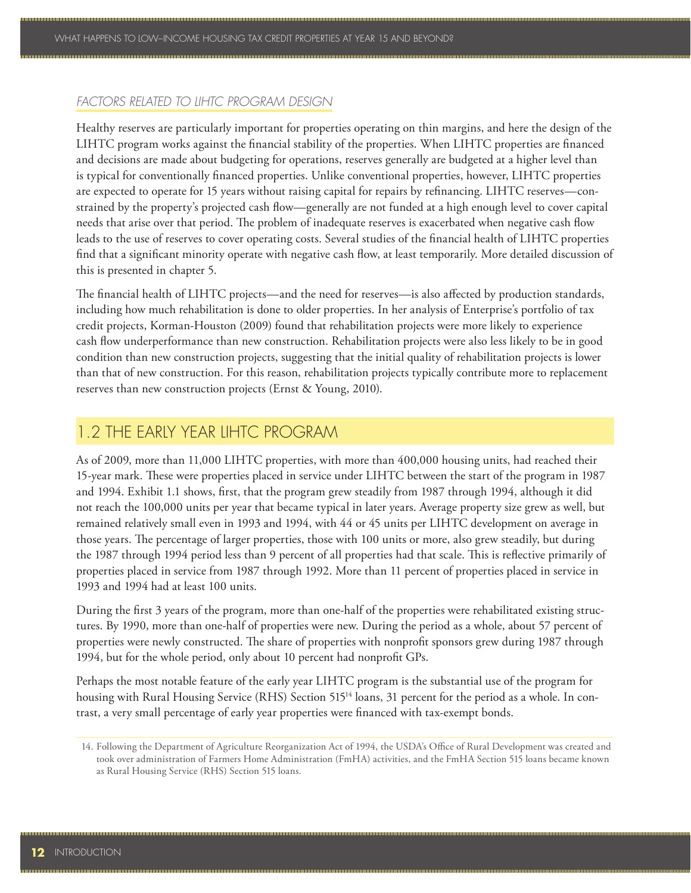#### FACTORS RELATED TO LIHTC PROGRAM DESIGN

Healthy reserves are particularly important for properties operating on thin margins, and here the design of the LIHTC program works against the financial stability of the properties. When LIHTC properties are financed and decisions are made about budgeting for operations, reserves generally are budgeted at a higher level than is typical for conventionally financed properties. Unlike conventional properties, however, LIHTC properties are expected to operate for 15 years without raising capital for repairs by refinancing. LIHTC reserves—constrained by the property's projected cash flow—generally are not funded at a high enough level to cover capital needs that arise over that period. The problem of inadequate reserves is exacerbated when negative cash flow leads to the use of reserves to cover operating costs. Several studies of the financial health of LIHTC properties find that a significant minority operate with negative cash flow, at least temporarily. More detailed discussion of this is presented in chapter 5.

The financial health of LIHTC projects—and the need for reserves—is also affected by production standards, including how much rehabilitation is done to older properties. In her analysis of Enterprise's portfolio of tax credit projects, Korman-Houston (2009) found that rehabilitation projects were more likely to experience cash flow underperformance than new construction. Rehabilitation projects were also less likely to be in good condition than new construction projects, suggesting that the initial quality of rehabilitation projects is lower than that of new construction. For this reason, rehabilitation projects typically contribute more to replacement reserves than new construction projects (Ernst & Young, 2010).

### 1.2 THE EARLY YEAR LIHTC PROGRAM

As of 2009, more than 11,000 LIHTC properties, with more than 400,000 housing units, had reached their 15-year mark. These were properties placed in service under LIHTC between the start of the program in 1987 and 1994. Exhibit 1.1 shows, first, that the program grew steadily from 1987 through 1994, although it did not reach the 100,000 units per year that became typical in later years. Average property size grew as well, but remained relatively small even in 1993 and 1994, with 44 or 45 units per LIHTC development on average in those years. The percentage of larger properties, those with 100 units or more, also grew steadily, but during the 1987 through 1994 period less than 9 percent of all properties had that scale. This is reflective primarily of properties placed in service from 1987 through 1992. More than 11 percent of properties placed in service in 1993 and 1994 had at least 100 units.

During the first 3 years of the program, more than one-half of the properties were rehabilitated existing structures. By 1990, more than one-half of properties were new. During the period as a whole, about 57 percent of properties were newly constructed. The share of properties with nonprofit sponsors grew during 1987 through 1994, but for the whole period, only about 10 percent had nonprofit GPs.

Perhaps the most notable feature of the early year LIHTC program is the substantial use of the program for housing with Rural Housing Service (RHS) Section 51514 loans, 31 percent for the period as a whole. In contrast, a very small percentage of early year properties were financed with tax-exempt bonds.

<sup>14.</sup> Following the Department of Agriculture Reorganization Act of 1994, the USDA's Office of Rural Development was created and took over administration of Farmers Home Administration (FmHA) activities, and the FmHA Section 515 loans became known as Rural Housing Service (RHS) Section 515 loans.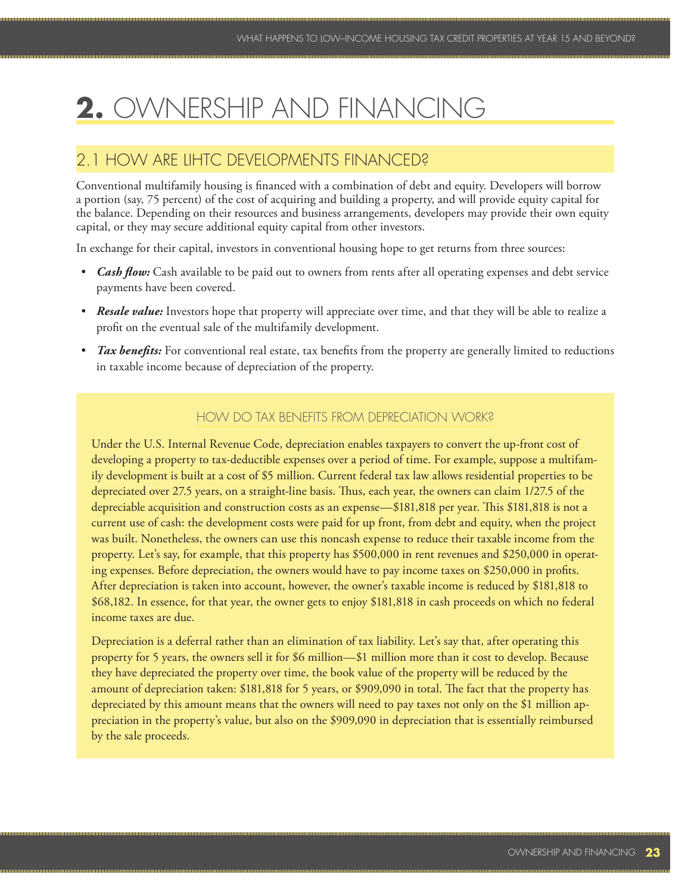## **2.** OWNERSHIP AND FINANCING

## 2.1 HOW ARE LIHTC DEVELOPMENTS FINANCED?

Conventional multifamily housing is financed with a combination of debt and equity. Developers will borrow a portion (say, 75 percent) of the cost of acquiring and building a property, and will provide equity capital for the balance. Depending on their resources and business arrangements, developers may provide their own equity capital, or they may secure additional equity capital from other investors.

In exchange for their capital, investors in conventional housing hope to get returns from three sources:

- *Cash flow:* Cash available to be paid out to owners from rents after all operating expenses and debt service payments have been covered.
- • *Resale value:* Investors hope that property will appreciate over time, and that they will be able to realize a profit on the eventual sale of the multifamily development.
- *Tax benefits:* For conventional real estate, tax benefits from the property are generally limited to reductions in taxable income because of depreciation of the property.

#### HOW DO TAX BENEFITS FROM DEPRECIATION WORK?

Under the U.S. Internal Revenue Code, depreciation enables taxpayers to convert the up-front cost of developing a property to tax-deductible expenses over a period of time. For example, suppose a multifamily development is built at a cost of \$5 million. Current federal tax law allows residential properties to be depreciated over 27.5 years, on a straight-line basis. Thus, each year, the owners can claim 1/27.5 of the depreciable acquisition and construction costs as an expense—\$181,818 per year. This \$181,818 is not a current use of cash: the development costs were paid for up front, from debt and equity, when the project was built. Nonetheless, the owners can use this noncash expense to reduce their taxable income from the property. Let's say, for example, that this property has \$500,000 in rent revenues and \$250,000 in operating expenses. Before depreciation, the owners would have to pay income taxes on \$250,000 in profits. After depreciation is taken into account, however, the owner's taxable income is reduced by \$181,818 to \$68,182. In essence, for that year, the owner gets to enjoy \$181,818 in cash proceeds on which no federal income taxes are due.

Depreciation is a deferral rather than an elimination of tax liability. Let's say that, after operating this property for 5 years, the owners sell it for \$6 million—\$1 million more than it cost to develop. Because they have depreciated the property over time, the book value of the property will be reduced by the amount of depreciation taken: \$181,818 for 5 years, or \$909,090 in total. The fact that the property has depreciated by this amount means that the owners will need to pay taxes not only on the \$1 million appreciation in the property's value, but also on the \$909,090 in depreciation that is essentially reimbursed by the sale proceeds.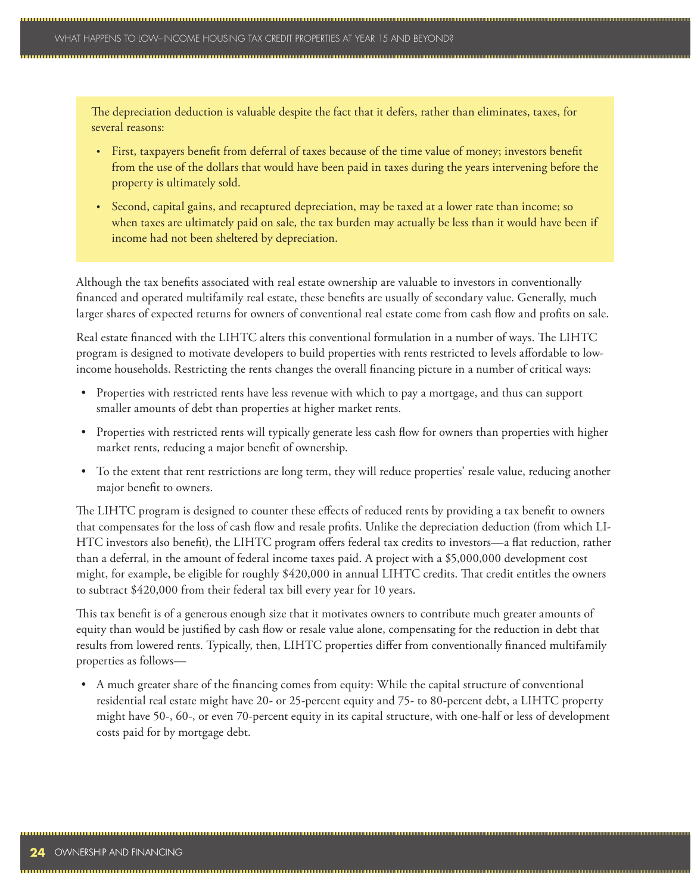The depreciation deduction is valuable despite the fact that it defers, rather than eliminates, taxes, for several reasons:

- • First, taxpayers benefit from deferral of taxes because of the time value of money; investors benefit from the use of the dollars that would have been paid in taxes during the years intervening before the property is ultimately sold.
- Second, capital gains, and recaptured depreciation, may be taxed at a lower rate than income; so when taxes are ultimately paid on sale, the tax burden may actually be less than it would have been if income had not been sheltered by depreciation.

Although the tax benefits associated with real estate ownership are valuable to investors in conventionally financed and operated multifamily real estate, these benefits are usually of secondary value. Generally, much larger shares of expected returns for owners of conventional real estate come from cash flow and profits on sale.

Real estate financed with the LIHTC alters this conventional formulation in a number of ways. The LIHTC program is designed to motivate developers to build properties with rents restricted to levels affordable to lowincome households. Restricting the rents changes the overall financing picture in a number of critical ways:

- • Properties with restricted rents have less revenue with which to pay a mortgage, and thus can support smaller amounts of debt than properties at higher market rents.
- • Properties with restricted rents will typically generate less cash flow for owners than properties with higher market rents, reducing a major benefit of ownership.
- To the extent that rent restrictions are long term, they will reduce properties' resale value, reducing another major benefit to owners.

The LIHTC program is designed to counter these effects of reduced rents by providing a tax benefit to owners that compensates for the loss of cash flow and resale profits. Unlike the depreciation deduction (from which LI-HTC investors also benefit), the LIHTC program offers federal tax credits to investors—a flat reduction, rather than a deferral, in the amount of federal income taxes paid. A project with a \$5,000,000 development cost might, for example, be eligible for roughly \$420,000 in annual LIHTC credits. That credit entitles the owners to subtract \$420,000 from their federal tax bill every year for 10 years.

This tax benefit is of a generous enough size that it motivates owners to contribute much greater amounts of equity than would be justified by cash flow or resale value alone, compensating for the reduction in debt that results from lowered rents. Typically, then, LIHTC properties differ from conventionally financed multifamily properties as follows—

• A much greater share of the financing comes from equity: While the capital structure of conventional residential real estate might have 20- or 25-percent equity and 75- to 80-percent debt, a LIHTC property might have 50-, 60-, or even 70-percent equity in its capital structure, with one-half or less of development costs paid for by mortgage debt.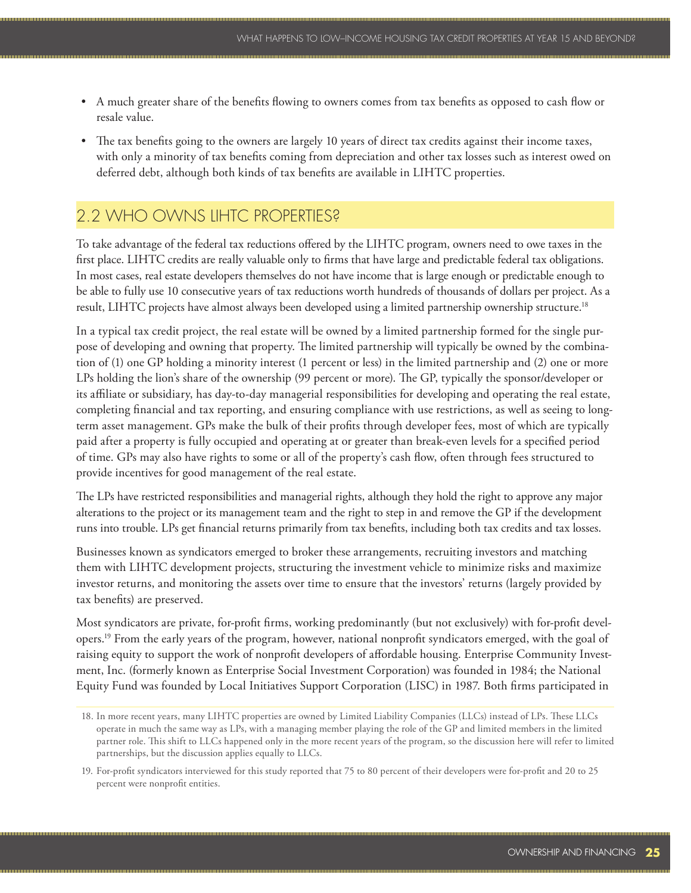- • A much greater share of the benefits flowing to owners comes from tax benefits as opposed to cash flow or resale value.
- The tax benefits going to the owners are largely 10 years of direct tax credits against their income taxes, with only a minority of tax benefits coming from depreciation and other tax losses such as interest owed on deferred debt, although both kinds of tax benefits are available in LIHTC properties.

## 2.2 WHO OWNS LIHTC PROPERTIES?

To take advantage of the federal tax reductions offered by the LIHTC program, owners need to owe taxes in the first place. LIHTC credits are really valuable only to firms that have large and predictable federal tax obligations. In most cases, real estate developers themselves do not have income that is large enough or predictable enough to be able to fully use 10 consecutive years of tax reductions worth hundreds of thousands of dollars per project. As a result, LIHTC projects have almost always been developed using a limited partnership ownership structure.<sup>18</sup>

In a typical tax credit project, the real estate will be owned by a limited partnership formed for the single purpose of developing and owning that property. The limited partnership will typically be owned by the combination of (1) one GP holding a minority interest (1 percent or less) in the limited partnership and (2) one or more LPs holding the lion's share of the ownership (99 percent or more). The GP, typically the sponsor/developer or its affiliate or subsidiary, has day-to-day managerial responsibilities for developing and operating the real estate, completing financial and tax reporting, and ensuring compliance with use restrictions, as well as seeing to longterm asset management. GPs make the bulk of their profits through developer fees, most of which are typically paid after a property is fully occupied and operating at or greater than break-even levels for a specified period of time. GPs may also have rights to some or all of the property's cash flow, often through fees structured to provide incentives for good management of the real estate.

The LPs have restricted responsibilities and managerial rights, although they hold the right to approve any major alterations to the project or its management team and the right to step in and remove the GP if the development runs into trouble. LPs get financial returns primarily from tax benefits, including both tax credits and tax losses.

Businesses known as syndicators emerged to broker these arrangements, recruiting investors and matching them with LIHTC development projects, structuring the investment vehicle to minimize risks and maximize investor returns, and monitoring the assets over time to ensure that the investors' returns (largely provided by tax benefits) are preserved.

Most syndicators are private, for-profit firms, working predominantly (but not exclusively) with for-profit developers.19 From the early years of the program, however, national nonprofit syndicators emerged, with the goal of raising equity to support the work of nonprofit developers of affordable housing. Enterprise Community Investment, Inc. (formerly known as Enterprise Social Investment Corporation) was founded in 1984; the National Equity Fund was founded by Local Initiatives Support Corporation (LISC) in 1987. Both firms participated in

<sup>18.</sup> In more recent years, many LIHTC properties are owned by Limited Liability Companies (LLCs) instead of LPs. These LLCs operate in much the same way as LPs, with a managing member playing the role of the GP and limited members in the limited partner role. This shift to LLCs happened only in the more recent years of the program, so the discussion here will refer to limited partnerships, but the discussion applies equally to LLCs.

<sup>19.</sup> For-profit syndicators interviewed for this study reported that 75 to 80 percent of their developers were for-profit and 20 to 25 percent were nonprofit entities.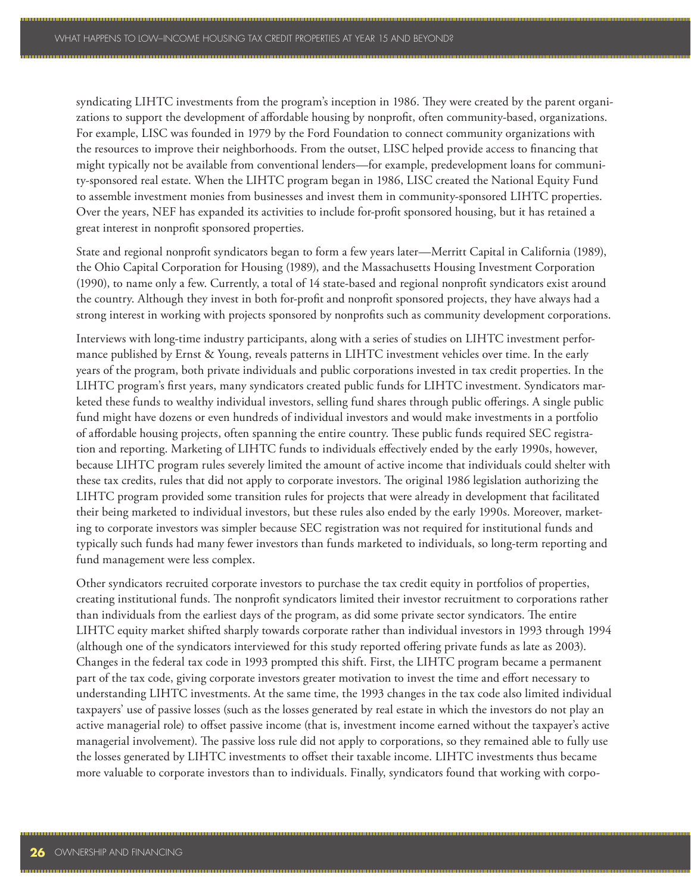syndicating LIHTC investments from the program's inception in 1986. They were created by the parent organizations to support the development of affordable housing by nonprofit, often community-based, organizations. For example, LISC was founded in 1979 by the Ford Foundation to connect community organizations with the resources to improve their neighborhoods. From the outset, LISC helped provide access to financing that might typically not be available from conventional lenders—for example, predevelopment loans for community-sponsored real estate. When the LIHTC program began in 1986, LISC created the National Equity Fund to assemble investment monies from businesses and invest them in community-sponsored LIHTC properties. Over the years, NEF has expanded its activities to include for-profit sponsored housing, but it has retained a great interest in nonprofit sponsored properties.

State and regional nonprofit syndicators began to form a few years later—Merritt Capital in California (1989), the Ohio Capital Corporation for Housing (1989), and the Massachusetts Housing Investment Corporation (1990), to name only a few. Currently, a total of 14 state-based and regional nonprofit syndicators exist around the country. Although they invest in both for-profit and nonprofit sponsored projects, they have always had a strong interest in working with projects sponsored by nonprofits such as community development corporations.

Interviews with long-time industry participants, along with a series of studies on LIHTC investment performance published by Ernst & Young, reveals patterns in LIHTC investment vehicles over time. In the early years of the program, both private individuals and public corporations invested in tax credit properties. In the LIHTC program's first years, many syndicators created public funds for LIHTC investment. Syndicators marketed these funds to wealthy individual investors, selling fund shares through public offerings. A single public fund might have dozens or even hundreds of individual investors and would make investments in a portfolio of affordable housing projects, often spanning the entire country. These public funds required SEC registration and reporting. Marketing of LIHTC funds to individuals effectively ended by the early 1990s, however, because LIHTC program rules severely limited the amount of active income that individuals could shelter with these tax credits, rules that did not apply to corporate investors. The original 1986 legislation authorizing the LIHTC program provided some transition rules for projects that were already in development that facilitated their being marketed to individual investors, but these rules also ended by the early 1990s. Moreover, marketing to corporate investors was simpler because SEC registration was not required for institutional funds and typically such funds had many fewer investors than funds marketed to individuals, so long-term reporting and fund management were less complex.

Other syndicators recruited corporate investors to purchase the tax credit equity in portfolios of properties, creating institutional funds. The nonprofit syndicators limited their investor recruitment to corporations rather than individuals from the earliest days of the program, as did some private sector syndicators. The entire LIHTC equity market shifted sharply towards corporate rather than individual investors in 1993 through 1994 (although one of the syndicators interviewed for this study reported offering private funds as late as 2003). Changes in the federal tax code in 1993 prompted this shift. First, the LIHTC program became a permanent part of the tax code, giving corporate investors greater motivation to invest the time and effort necessary to understanding LIHTC investments. At the same time, the 1993 changes in the tax code also limited individual taxpayers' use of passive losses (such as the losses generated by real estate in which the investors do not play an active managerial role) to offset passive income (that is, investment income earned without the taxpayer's active managerial involvement). The passive loss rule did not apply to corporations, so they remained able to fully use the losses generated by LIHTC investments to offset their taxable income. LIHTC investments thus became more valuable to corporate investors than to individuals. Finally, syndicators found that working with corpo